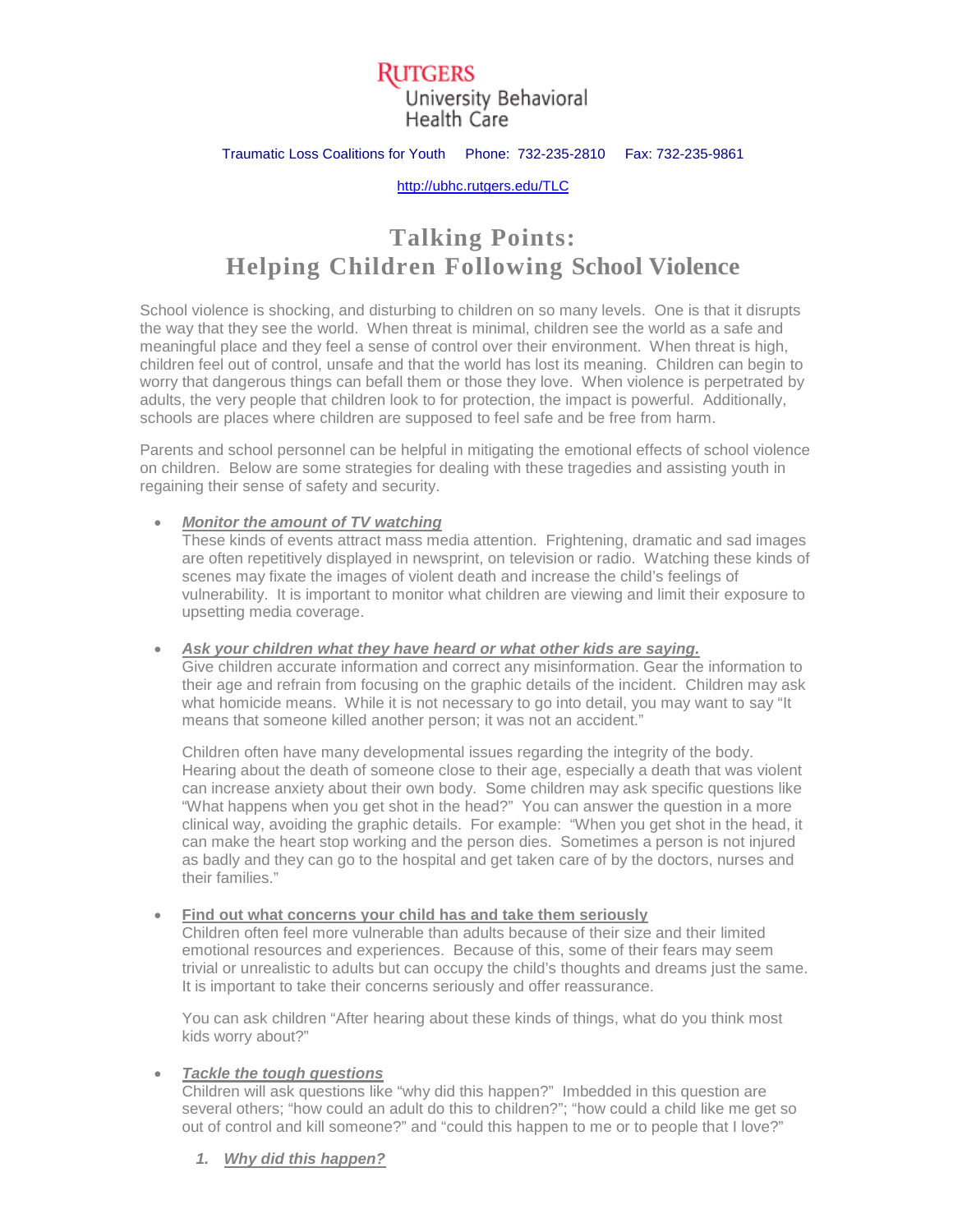## Rutgers University Behavioral Health Care

### Traumatic Loss Coalitions for Youth Phone: 732-235-2810 Fax: 732-235-9861

[http://ubhc.rutgers.edu/TLC](http://ubhc.rutgers.edu/brti/TLC)

# **Talking Points: Helping Children Following School Violence**

School violence is shocking, and disturbing to children on so many levels. One is that it disrupts the way that they see the world. When threat is minimal, children see the world as a safe and meaningful place and they feel a sense of control over their environment. When threat is high, children feel out of control, unsafe and that the world has lost its meaning. Children can begin to worry that dangerous things can befall them or those they love. When violence is perpetrated by adults, the very people that children look to for protection, the impact is powerful. Additionally, schools are places where children are supposed to feel safe and be free from harm.

Parents and school personnel can be helpful in mitigating the emotional effects of school violence on children. Below are some strategies for dealing with these tragedies and assisting youth in regaining their sense of safety and security.

### • *Monitor the amount of TV watching*

These kinds of events attract mass media attention. Frightening, dramatic and sad images are often repetitively displayed in newsprint, on television or radio. Watching these kinds of scenes may fixate the images of violent death and increase the child's feelings of vulnerability. It is important to monitor what children are viewing and limit their exposure to upsetting media coverage.

#### • *Ask your children what they have heard or what other kids are saying.*

Give children accurate information and correct any misinformation. Gear the information to their age and refrain from focusing on the graphic details of the incident. Children may ask what homicide means. While it is not necessary to go into detail, you may want to say "It means that someone killed another person; it was not an accident."

Children often have many developmental issues regarding the integrity of the body. Hearing about the death of someone close to their age, especially a death that was violent can increase anxiety about their own body. Some children may ask specific questions like "What happens when you get shot in the head?" You can answer the question in a more clinical way, avoiding the graphic details. For example: "When you get shot in the head, it can make the heart stop working and the person dies. Sometimes a person is not injured as badly and they can go to the hospital and get taken care of by the doctors, nurses and their families."

#### • **Find out what concerns your child has and take them seriously**

Children often feel more vulnerable than adults because of their size and their limited emotional resources and experiences. Because of this, some of their fears may seem trivial or unrealistic to adults but can occupy the child's thoughts and dreams just the same. It is important to take their concerns seriously and offer reassurance.

You can ask children "After hearing about these kinds of things, what do you think most kids worry about?"

### • *Tackle the tough questions*

Children will ask questions like "why did this happen?" Imbedded in this question are several others; "how could an adult do this to children?"; "how could a child like me get so out of control and kill someone?" and "could this happen to me or to people that I love?"

*1. Why did this happen?*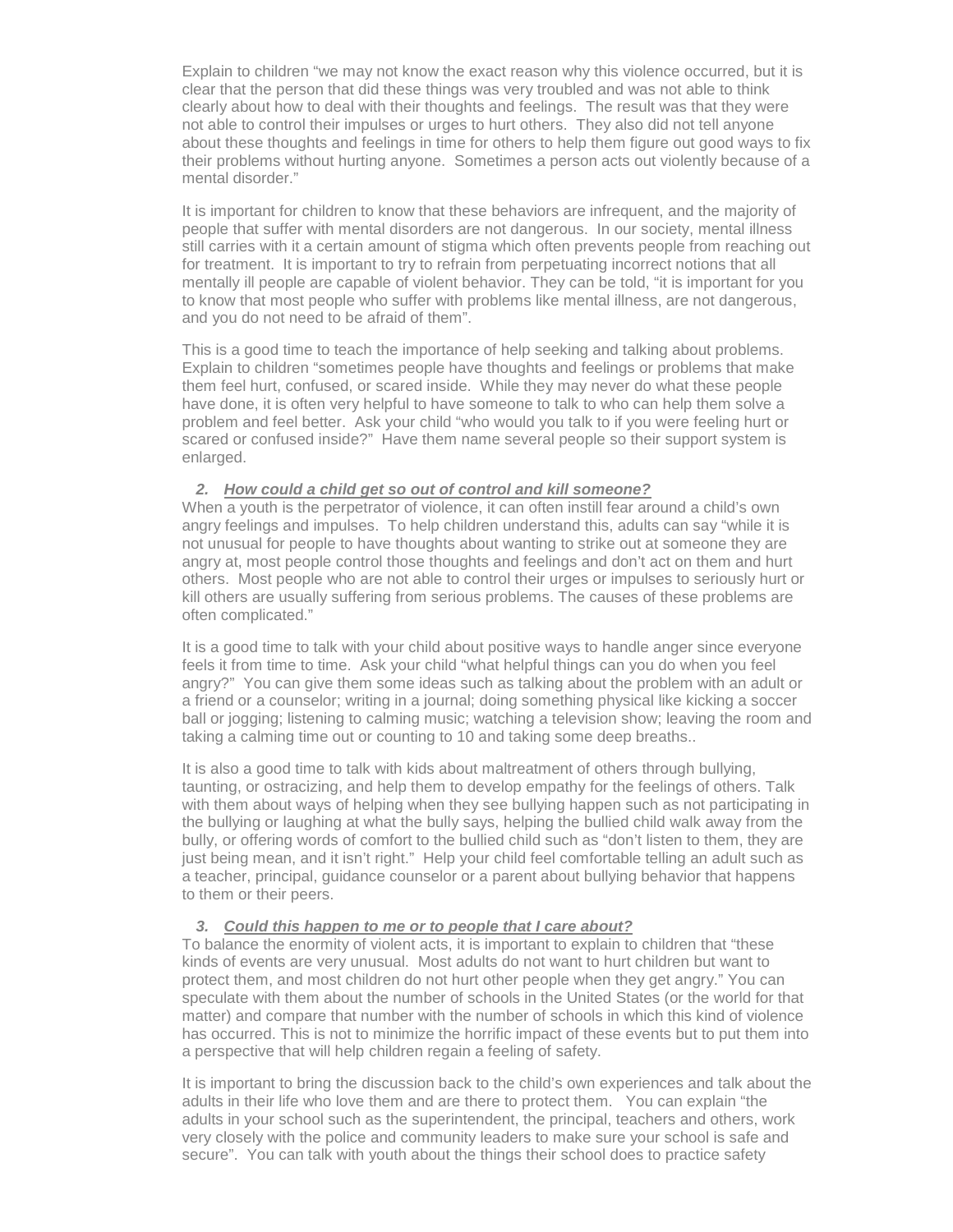Explain to children "we may not know the exact reason why this violence occurred, but it is clear that the person that did these things was very troubled and was not able to think clearly about how to deal with their thoughts and feelings. The result was that they were not able to control their impulses or urges to hurt others. They also did not tell anyone about these thoughts and feelings in time for others to help them figure out good ways to fix their problems without hurting anyone. Sometimes a person acts out violently because of a mental disorder."

It is important for children to know that these behaviors are infrequent, and the majority of people that suffer with mental disorders are not dangerous. In our society, mental illness still carries with it a certain amount of stigma which often prevents people from reaching out for treatment. It is important to try to refrain from perpetuating incorrect notions that all mentally ill people are capable of violent behavior. They can be told, "it is important for you to know that most people who suffer with problems like mental illness, are not dangerous, and you do not need to be afraid of them".

This is a good time to teach the importance of help seeking and talking about problems. Explain to children "sometimes people have thoughts and feelings or problems that make them feel hurt, confused, or scared inside. While they may never do what these people have done, it is often very helpful to have someone to talk to who can help them solve a problem and feel better. Ask your child "who would you talk to if you were feeling hurt or scared or confused inside?" Have them name several people so their support system is enlarged.

### *2. How could a child get so out of control and kill someone?*

When a youth is the perpetrator of violence, it can often instill fear around a child's own angry feelings and impulses. To help children understand this, adults can say "while it is not unusual for people to have thoughts about wanting to strike out at someone they are angry at, most people control those thoughts and feelings and don't act on them and hurt others. Most people who are not able to control their urges or impulses to seriously hurt or kill others are usually suffering from serious problems. The causes of these problems are often complicated."

It is a good time to talk with your child about positive ways to handle anger since everyone feels it from time to time. Ask your child "what helpful things can you do when you feel angry?" You can give them some ideas such as talking about the problem with an adult or a friend or a counselor; writing in a journal; doing something physical like kicking a soccer ball or jogging; listening to calming music; watching a television show; leaving the room and taking a calming time out or counting to 10 and taking some deep breaths..

It is also a good time to talk with kids about maltreatment of others through bullying, taunting, or ostracizing, and help them to develop empathy for the feelings of others. Talk with them about ways of helping when they see bullying happen such as not participating in the bullying or laughing at what the bully says, helping the bullied child walk away from the bully, or offering words of comfort to the bullied child such as "don't listen to them, they are just being mean, and it isn't right." Help your child feel comfortable telling an adult such as a teacher, principal, guidance counselor or a parent about bullying behavior that happens to them or their peers.

### *3. Could this happen to me or to people that I care about?*

To balance the enormity of violent acts, it is important to explain to children that "these kinds of events are very unusual. Most adults do not want to hurt children but want to protect them, and most children do not hurt other people when they get angry." You can speculate with them about the number of schools in the United States (or the world for that matter) and compare that number with the number of schools in which this kind of violence has occurred. This is not to minimize the horrific impact of these events but to put them into a perspective that will help children regain a feeling of safety.

It is important to bring the discussion back to the child's own experiences and talk about the adults in their life who love them and are there to protect them. You can explain "the adults in your school such as the superintendent, the principal, teachers and others, work very closely with the police and community leaders to make sure your school is safe and secure". You can talk with youth about the things their school does to practice safety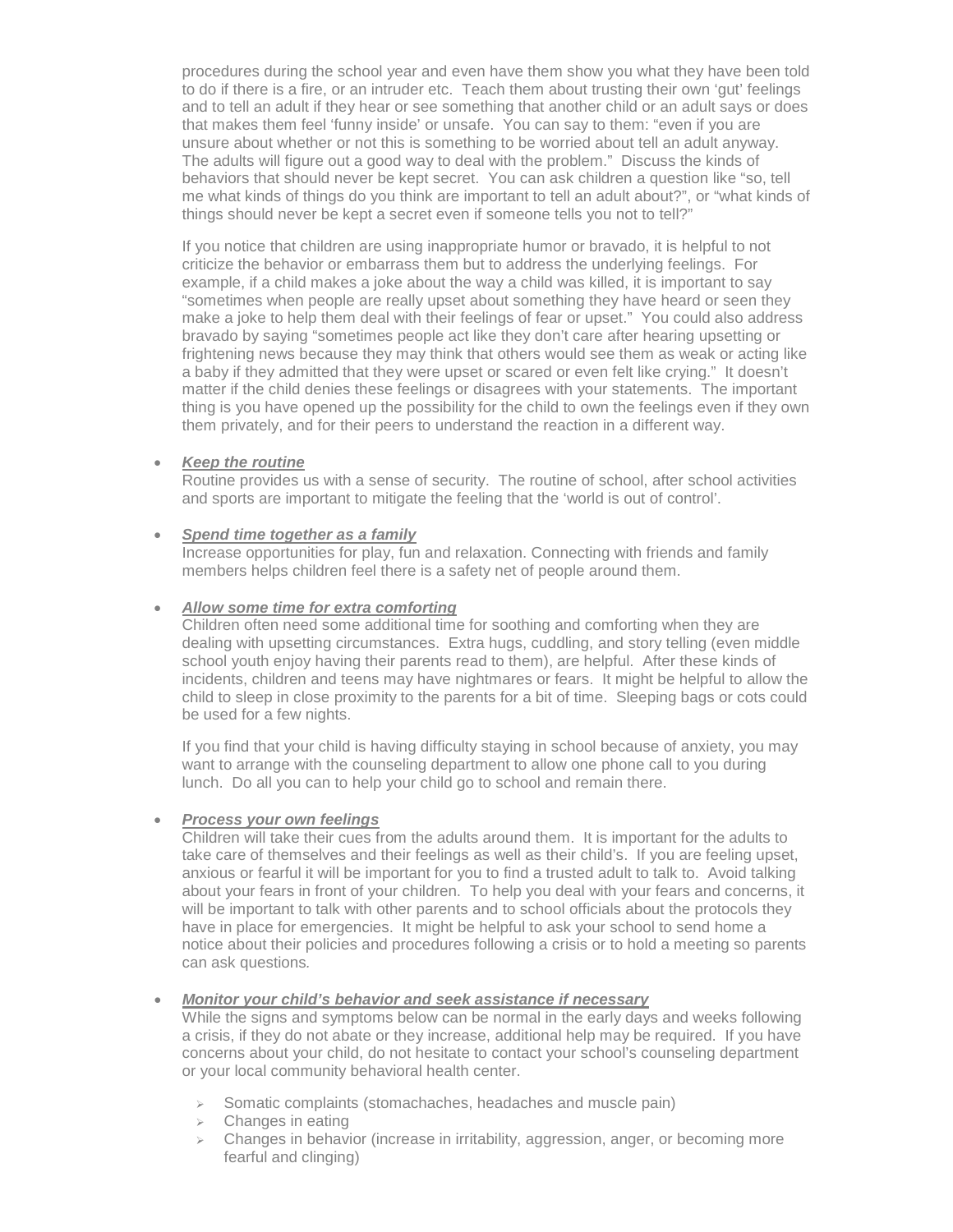procedures during the school year and even have them show you what they have been told to do if there is a fire, or an intruder etc. Teach them about trusting their own 'gut' feelings and to tell an adult if they hear or see something that another child or an adult says or does that makes them feel 'funny inside' or unsafe. You can say to them: "even if you are unsure about whether or not this is something to be worried about tell an adult anyway. The adults will figure out a good way to deal with the problem." Discuss the kinds of behaviors that should never be kept secret. You can ask children a question like "so, tell me what kinds of things do you think are important to tell an adult about?", or "what kinds of things should never be kept a secret even if someone tells you not to tell?"

If you notice that children are using inappropriate humor or bravado, it is helpful to not criticize the behavior or embarrass them but to address the underlying feelings. For example, if a child makes a joke about the way a child was killed, it is important to say "sometimes when people are really upset about something they have heard or seen they make a joke to help them deal with their feelings of fear or upset." You could also address bravado by saying "sometimes people act like they don't care after hearing upsetting or frightening news because they may think that others would see them as weak or acting like a baby if they admitted that they were upset or scared or even felt like crying." It doesn't matter if the child denies these feelings or disagrees with your statements. The important thing is you have opened up the possibility for the child to own the feelings even if they own them privately, and for their peers to understand the reaction in a different way.

### • *Keep the routine*

Routine provides us with a sense of security. The routine of school, after school activities and sports are important to mitigate the feeling that the 'world is out of control'.

### • *Spend time together as a family*

Increase opportunities for play, fun and relaxation. Connecting with friends and family members helps children feel there is a safety net of people around them.

### • *Allow some time for extra comforting*

Children often need some additional time for soothing and comforting when they are dealing with upsetting circumstances. Extra hugs, cuddling, and story telling (even middle school youth enjoy having their parents read to them), are helpful. After these kinds of incidents, children and teens may have nightmares or fears. It might be helpful to allow the child to sleep in close proximity to the parents for a bit of time. Sleeping bags or cots could be used for a few nights.

If you find that your child is having difficulty staying in school because of anxiety, you may want to arrange with the counseling department to allow one phone call to you during lunch. Do all you can to help your child go to school and remain there.

### • *Process your own feelings*

Children will take their cues from the adults around them. It is important for the adults to take care of themselves and their feelings as well as their child's. If you are feeling upset, anxious or fearful it will be important for you to find a trusted adult to talk to. Avoid talking about your fears in front of your children. To help you deal with your fears and concerns, it will be important to talk with other parents and to school officials about the protocols they have in place for emergencies. It might be helpful to ask your school to send home a notice about their policies and procedures following a crisis or to hold a meeting so parents can ask questions*.*

### • *Monitor your child's behavior and seek assistance if necessary*

While the signs and symptoms below can be normal in the early days and weeks following a crisis, if they do not abate or they increase, additional help may be required. If you have concerns about your child, do not hesitate to contact your school's counseling department or your local community behavioral health center.

- $\triangleright$  Somatic complaints (stomachaches, headaches and muscle pain)
- $\triangleright$  Changes in eating
- $\triangleright$  Changes in behavior (increase in irritability, aggression, anger, or becoming more fearful and clinging)